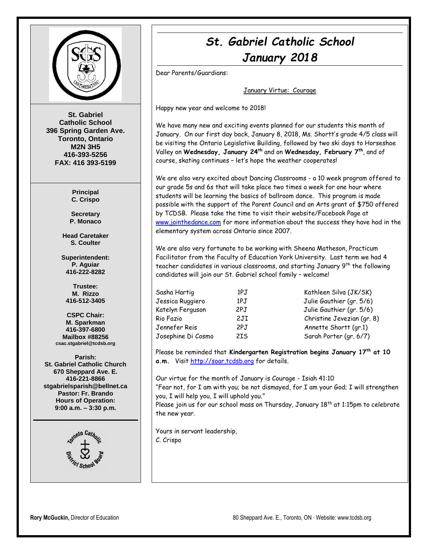

**St. Gabriel Catholic School 396 Spring Garden Ave. Toronto, Ontario M2N 3H5 416-393-5256 FAX: 416 393-5199**

> **Principal C. Crispo**

**Secretary P. Monaco**

**Head Caretaker S. Coulter**

**Superintendent: P. Aguiar 416-222-8282**

**Trustee: M. Rizzo 416-512-3405**

**CSPC Chair: M. Sparkman 416-397-6800 Mailbox #88256 csac.stgabriel@tcdsb.org**

**Parish: St. Gabriel Catholic Church 670 Sheppard Ave. E. 416-221-8866 stgabrielsparish@bellnet.ca Pastor: Fr. Brando Hours of Operation: 9:00 a.m. – 3:30 p.m.**



# *St. Gabriel Catholic School January 2018*

Dear Parents/Guardians:

January Virtue: Courage

Happy new year and welcome to 2018!

We have many new and exciting events planned for our students this month of January. On our first day back, January 8, 2018, Ms. Shortt's grade 4/5 class will be visiting the Ontario Legislative Building, followed by two ski days to Horseshoe Valley on **Wednesday, January 24th** and on **Wednesday, February 7th** , and of course, skating continues – let's hope the weather cooperates!

We are also very excited about Dancing Classrooms - a 10 week program offered to our grade 5s and 6s that will take place two times a week for one hour where students will be learning the basics of ballroom dance. This program is made possible with the support of the Parent Council and an Arts grant of \$750 offered by TCDSB. Please take the time to visit their website/Facebook Page at [www.jointhedance.com](http://www.jointhedance.com/) for more information about the success they have had in the elementary system across Ontario since 2007.

We are also very fortunate to be working with Sheena Matheson, Practicum Facilitator from the Faculty of Education York University. Last term we had 4 teacher candidates in various classrooms, and starting January 9th the following candidates will join our St. Gabriel school family – welcome!

| Sasha Hartig       | 1PJ | Kathleen Silva (JK/SK)    |
|--------------------|-----|---------------------------|
| Jessica Ruggiero   | 1PJ | Julie Gauthier (gr. 5/6)  |
| Katelyn Ferguson   | 2PJ | Julie Gauthier (gr. 5/6)  |
| Rio Fazio          | 2JI | Christine Jevezian (gr. 8 |
| Jennefer Reis      | 2PJ | Annette Shortt (gr.1)     |
| Josephine Di Cosmo | 2IS | Sarah Porter (gr. 6/7)    |

Please be reminded that **Kindergarten Registration begins January 17th at 10 a.m.** Visi[t http://soar.tcdsb.org](http://soar.tcdsb.org/) for details.

Our virtue for the month of January is Courage - Isiah 41:10 "Fear not, for I am with you; be not dismayed, for I am your God; I will strengthen you, I will help you, I will uphold you."

Please join us for our school mass on Thursday, January 18<sup>th</sup> at 1:15pm to celebrate the new year.

Yours in servant leadership, C. Crispo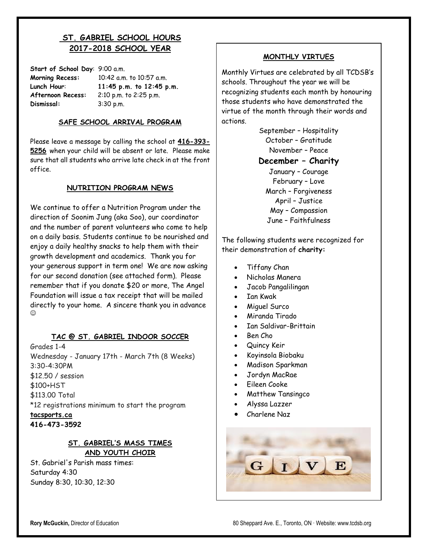# **ST. GABRIEL SCHOOL HOURS 2017-2018 SCHOOL YEAR**

| Start of School Day: 9:00 a.m. |                |
|--------------------------------|----------------|
| <b>Morning Recess:</b>         | 10:42 a.m. to  |
| Lunch Hour:                    | 11:45 p.m.     |
| Afternoon Recess:              | $2:10$ p.m. to |
| Dismissal:                     | 3:30 p.m.      |

**Morning Recess:** 10:42 a.m. to 10:57 a.m. **Lunch Hour**: **11:45 p.m. to 12:45 p.m. Afternoon Recess:** 2:10 p.m. to 2:25 p.m.

#### **SAFE SCHOOL ARRIVAL PROGRAM**

Please leave a message by calling the school at **416-393- 5256** when your child will be absent or late. Please make sure that all students who arrive late check in at the front office.

#### **NUTRITION PROGRAM NEWS**

We continue to offer a Nutrition Program under the direction of Soonim Jung (aka Soo), our coordinator and the number of parent volunteers who come to help on a daily basis. Students continue to be nourished and enjoy a daily healthy snacks to help them with their growth development and academics. Thank you for your generous support in term one! We are now asking for our second donation (see attached form). Please remember that if you donate \$20 or more, The Angel Foundation will issue a tax receipt that will be mailed directly to your home. A sincere thank you in advance ⊙

### **TAC @ ST. GABRIEL INDOOR SOCCER**

Grades 1-4 Wednesday - January 17th - March 7th (8 Weeks) 3:30-4:30PM \$12.50 / session \$100+HST \$113.00 Total \*12 registrations minimum to start the program **[tacsports.ca](http://tacsports.ca/) 416-473-3592**

## **ST. GABRIEL'S MASS TIMES AND YOUTH CHOIR**

St. Gabriel's Parish mass times: Saturday 4:30 Sunday 8:30, 10:30, 12:30

#### **MONTHLY VIRTUES**

Monthly Virtues are celebrated by all TCDSB's schools. Throughout the year we will be recognizing students each month by honouring those students who have demonstrated the virtue of the month through their words and actions.

> September – Hospitality October – Gratitude November – Peace

> **December – Charity** January – Courage

February – Love March – Forgiveness April – Justice May – Compassion June – Faithfulness

The following students were recognized for their demonstration of **charity:**

- Tiffany Chan
- Nicholas Manera
- Jacob Pangalilingan
- Ian Kwak
- Miguel Surco
- Miranda Tirado
- Ian Saldivar-Brittain
- Ben Cho
- Quincy Keir
- Koyinsola Biobaku
- Madison Sparkman
- Jordyn MacRae
- Eileen Cooke
- Matthew Tansingco
- Alyssa Lazzer
- Charlene Naz

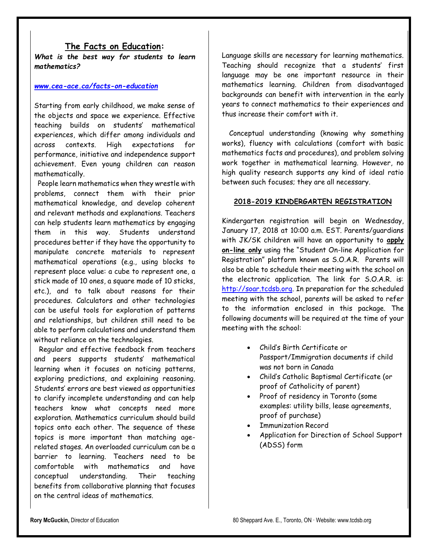### **The Facts on Education:**

*What is the best way for students to learn mathematics?*

#### *[www.cea-ace.ca/facts-on-education](http://www.cea-ace.ca/facts-on-education)*

Starting from early childhood, we make sense of the objects and space we experience. Effective teaching builds on students' mathematical experiences, which differ among individuals and across contexts. High expectations for performance, initiative and independence support achievement. Even young children can reason mathematically.

People learn mathematics when they wrestle with problems, connect them with their prior mathematical knowledge, and develop coherent and relevant methods and explanations. Teachers can help students learn mathematics by engaging them in this way. Students understand procedures better if they have the opportunity to manipulate concrete materials to represent mathematical operations (e.g., using blocks to represent place value: a cube to represent one, a stick made of 10 ones, a square made of 10 sticks, etc.), and to talk about reasons for their procedures. Calculators and other technologies can be useful tools for exploration of patterns and relationships, but children still need to be able to perform calculations and understand them without reliance on the technologies.

Regular and effective feedback from teachers and peers supports students' mathematical learning when it focuses on noticing patterns, exploring predictions, and explaining reasoning. Students' errors are best viewed as opportunities to clarify incomplete understanding and can help teachers know what concepts need more exploration. Mathematics curriculum should build topics onto each other. The sequence of these topics is more important than matching agerelated stages. An overloaded curriculum can be a barrier to learning. Teachers need to be comfortable with mathematics and have conceptual understanding. Their teaching benefits from collaborative planning that focuses on the central ideas of mathematics.

Language skills are necessary for learning mathematics. Teaching should recognize that a students' first language may be one important resource in their mathematics learning. Children from disadvantaged backgrounds can benefit with intervention in the early years to connect mathematics to their experiences and thus increase their comfort with it.

Conceptual understanding (knowing why something works), fluency with calculations (comfort with basic mathematics facts and procedures), and problem solving work together in mathematical learning. However, no high quality research supports any kind of ideal ratio between such focuses; they are all necessary.

#### **2018-2019 KINDERGARTEN REGISTRATION**

Kindergarten registration will begin on Wednesday, January 17, 2018 at 10:00 a.m. EST. Parents/guardians with JK/SK children will have an opportunity to **apply on-line only** using the "Student On-line Application for Registration" platform known as S.O.A.R. Parents will also be able to schedule their meeting with the school on the electronic application. The link for S.O.A.R. is: [http://soar.tcdsb.org.](http://soar.tcdsb.org/) In preparation for the scheduled meeting with the school, parents will be asked to refer to the information enclosed in this package. The following documents will be required at the time of your meeting with the school:

- Child's Birth Certificate or Passport/Immigration documents if child was not born in Canada
- Child's Catholic Baptismal Certificate (or proof of Catholicity of parent)
- Proof of residency in Toronto (some examples: utility bills, lease agreements, proof of purchase)
- Immunization Record
- Application for Direction of School Support (ADSS) form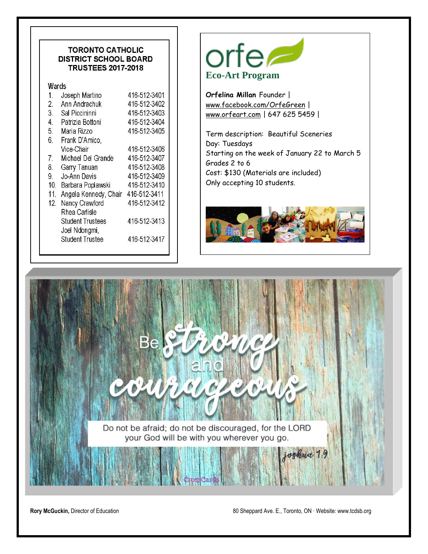#### **TORONTO CATHOLIC DISTRICT SCHOOL BOARD TRUSTEES 2017-2018**

Wards

| 1.               | Joseph Martino          | 416-512-3401 |
|------------------|-------------------------|--------------|
| $\overline{2}$ . | Ann Andrachuk           | 416-512-3402 |
| 3.               | Sal Piccininni          | 416-512-3403 |
| 4.               | Patrizia Bottoni        | 416-512-3404 |
| 5.               | Maria Rizzo             | 416-512-3405 |
| 6.               | Frank D'Amico,          |              |
|                  | Vice-Chair              | 416-512-3406 |
| 7.               | Michael Del Grande      | 416-512-3407 |
| 8.               | Garry Tanuan            | 416-512-3408 |
| 9.               | Jo-Ann Davis            | 416-512-3409 |
| 10.              | Barbara Poplawski       | 416-512-3410 |
| 11.              | Angela Kennedy, Chair   | 416-512-3411 |
| 12.              | Nancy Crawford          | 416-512-3412 |
|                  | Rhea Carlisle           |              |
|                  | <b>Student Trustees</b> | 416-512-3413 |
|                  | Joel Ndongmi,           |              |
|                  | <b>Student Trustee</b>  | 416-512-3417 |
|                  |                         |              |



**Orfelina Millan** Founder | [www.facebook.com/OrfeGreen](http://www.facebook.com/OrfeGreen) | [www.orfeart.com](http://www.orfeart.com/) | 647 625 5459 |

Term description: Beautiful Sceneries Day: Tuesdays Starting on the week of January 22 to March 5 Grades 2 to 6 Cost: \$130 (Materials are included) Only accepting 10 students.